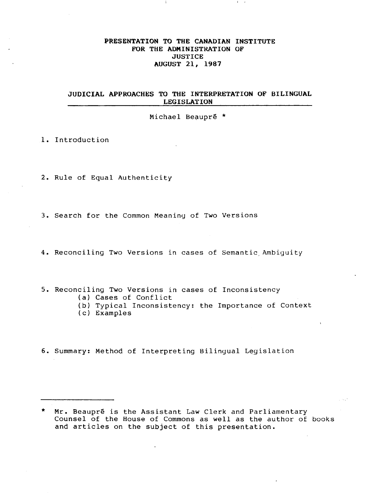#### PRESENTATION TO THE CANADIAN INSTITUTE FOR THE ADMINISTRATION OF **JUSTICE** AUGUST 21, 1987

## JUDICIAL APPROACHES TO THE INTERPRETATION OF BILINGUAL LEGISLATION

Michael Beaupré  $*$ 

1. Introduction

2. Rule of Equal Authenticity

3. Search for the Common Meaning of Two Versions

4. Reconciling Two Versions in cases of Semantic Ambiguity

5. Reconciling Two Versions in cases of Inconsistency

- (a) Cases of Conflict
- (b) Typical Inconsistency: the Importance of Context
- (c) Examples

6. Summary: Method of Interpreting Bilingual Legislation

<sup>\*</sup> Mr. Beaupré is the Assistant Law Clerk and Parliamentary Counsel of the House of Commons as well as the author of books and articles on the subject of this presentation.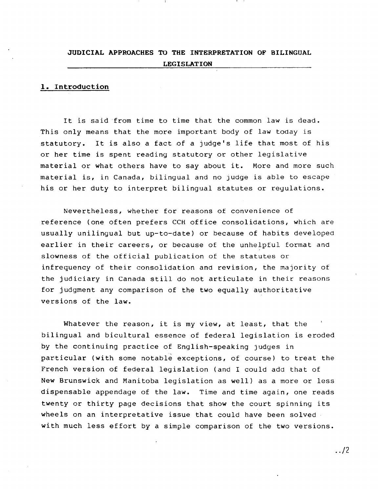## **JUDICIAL APPROACHES TO THE INTERPRETATION OF BILINGUAL LEGISLATION**

#### **1. Introduction**

It is said from time to time that the common law is dead. This only means that the more important body of law today is statutory. It is also a fact of a judge's life that most of his or her time is spent reading statutory or other legislative material or what others have to say about it. More and more such material is, in Canada, bilingual and no judge is able to escape his or her duty to interpret bilingual statutes or reyulations.

Nevertheless, whether for reasons of convenience of reference (one often prefers CCH office consolidations, which are usually unilingual but up-to-date) or because of habits developed earlier in their careers, or because of the unhelpful format and slowness of the official publication of the statutes or infrequency of their consolidation and revision, the majority of the judiciary in Canada still do not articulate in their reasons for judgment any comparison of the two equally authoritative versions of the law.

Whatever the reason, it is my view, at least, that the bilingual and bicultural essence of federal legislation is eroded by the continuing practice of English-speaking judges in particular (with some notable exceptions, of course) to treat the French version of federal legislation (and I could add that of New Brunswick and Manitoba legislation as well) as a more or less dispensable appendage of the law. Time and time again, one reads twenty or thirty page decisions that show the court spinning its wheels on an interpretative issue that could have been solved with much less effort by a simple comparison of the two versions •

.. /2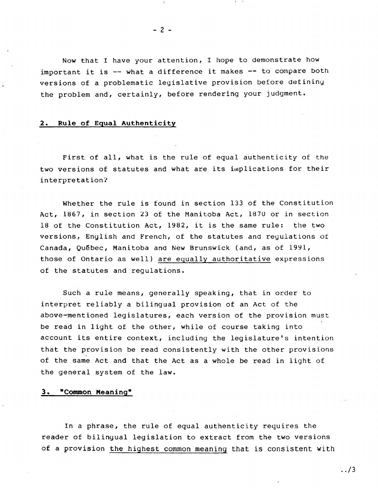Now that I have your attention, I hope to demonstrate how important it is -- what a difference it makes -- to compare both versions of a problematic legislative provision before detininy the problem and, certainly, before rendering your judgment.

#### 2. Rule of Equal Authenticity

First of all, what is the rule of equal authenticity of the two versions of statutes and what are its implications for their interpretation?

Whether the rule is found in section 133 of the Constitution Act, 1867, in section 23 of the Manitoba Act, 187U or in section 18 of the Constitution Act, 1982, it is the same rule: the two versions, English and French, of the statutes and regulations of Canada, Québec, Manitoba and New Brunswick (and, as of 1991, those of Ontario as well) are equally authoritative expressions of the statutes and regulations.

Such a rule means, generally speaking, that in order to interpret reliably a bilingual provision of an Act of the above-mentioned legislatures, each version of the provision must be read in light of the other, while of course taking into account its entire context, including the legislature's intention that the provision be read consistently with the other provisions of the same Act and that the Act as a whole be read in light of the general system of the law.

#### 3. "Common Meaning"

In a phrase, the rule of equal authenticity requires the reader of bilingual legislation to extract from the two versions of a provision the highest common meaning that is consistent with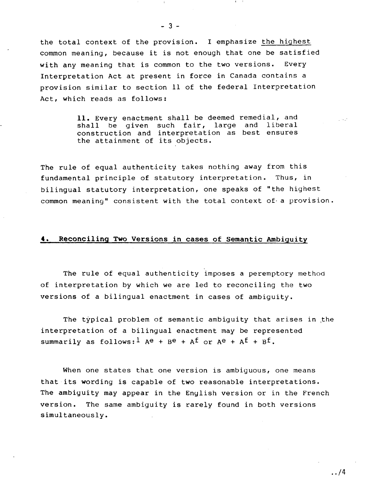the total context of the provision. I emphasize the highest common meaning, because it is not enough that one be satisfied with any meaning that is common to the two versions. Every Interpretation Act at present in force in Canada contains a provision similar to section 11 of the federal Interpretation Act, which reads as follows:

> 11. Every enactment shall be deemed remedial, and shall be given such fair, large and liberal construction and interpretation as best ensures the attainment of its objects.

The rule of equal authenticity takes nothing away from this fundamental principle of statutory interpretation. Thus, in bilingual statutory interpretation, one speaks of "the highest common meaning" consistent with the total context of· a provision.

#### **4.** Reconciling Two Versions in cases of Semantic Ambiguity

The rule of equal authenticity imposes a peremptory method of interpretation by which we are led to reconciling the two versions of a bilingual enactment in cases of ambiguity.

The typical problem of semantic ambiguity that arises in the interpretation of a bilingual enactment may be represented summarily as follows:  $^1$  Ae + Be + Af or Ae + Af + Bf.

When one states that one version is ambiguous, one means that its wording is capable of two reasonable interpretations. The ambiguity may appear in the English version or in the French version. The same ambiguity is rarely found in both versions simultaneously.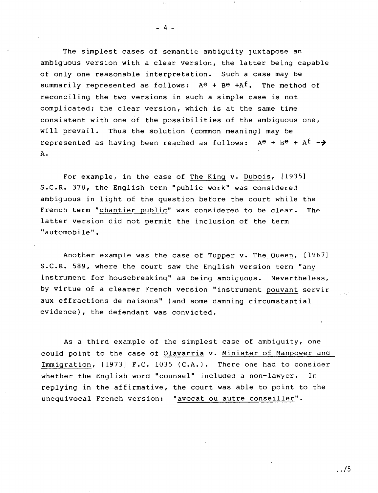The simplest cases of semantic ambiguity juxtapose an ambiguous version with a clear version, the latter being capable of only one reasonable interpretation. Such a case may be summarily represented as follows:  $A^e$  +  $B^e$  + $A^f$ . The method of reconciling the two versions in such a simple case is not complicated; the clear version, which is at the same time consistent with one of the possibilities of the ambiguous one, will prevail. Thus the solution (common meaning) may be represented as having been reached as follows:  $A^e$  +  $B^e$  +  $A^f$  -> A.

For example, in the case of The King v. Dubois, [1935] S.C.R. 378, the English term "public work" was considered ambiguous in light of the question before the court while the French term "chantier public" was considered to be clear. The latter version did not permit the inclusion of the term "automobile".

Another example was the case of Tupper v. The Queen, [1967] S.C.R. 589, where the court saw the English version term "any instrument for housebreaking" as being ambiguous. Nevertheless, by virtue of a clearer French version "instrument pouvant servir aux effractions de maisons" (and some damning circumstantial evidence), the defendant was convicted.

As a third example of the simplest case of ambiguity, one could point to the case of Olavarria v. Minister of Manpower and Immigration, [1973] F.C. 1035 (C.A.). There one had to consider whether the English word "counsel" included a non-lawyer. In replying in the affirmative, the court was able to point to the unequivocal French version: "avocat ou autre conseiller".

- 4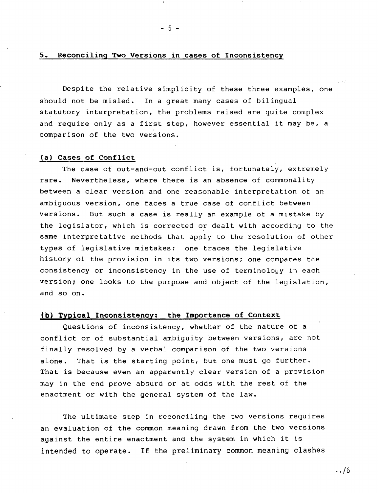#### 5. Reconciling Two Versions in cases of Inconsistency

 $- 5 -$ 

Despite the relative simplicity of these three examples, one should not be misled. In a great many cases of bilingual statutory interpretation, the problems raised are quite complex and require only as a first step, however essential it may be, a comparison of the two versions.

#### (a) Cases of Conflict

The case of out-and-out conflict is, fortunately, extremely rare. Nevertheless, where there is an absence of commonality between a clear version and one reasonable interpretation of an ambiguous version, one faces a true case of conflict between versions. But such a case is really an example of a mistake by the legislator, which is corrected or dealt with according to the same interpretative methods that apply to the resolution of other types of legislative mistakes: one traces the legislative history of the provision in its two versions; one compares the consistency or inconsistency in the use of terminology in each version; one looks to the purpose and object of the legislation, and so on.

## (b) Typical Inconsistency: the Importance of Context

Questions of inconsistency, whether of the nature of a conflict or of substantial ambiguity between versions, are not finally resolved by a verbal comparison of the two versions alone. That is the starting point, but one must go further. That is because even an apparently clear version of a provision may in the end prove absurd or at odds with the rest of the enactment or with the general system of the law.

The ultimate step in reconciling the two versions requires an evaluation of the common meaning drawn from the two versions against the entire enactment and the system in which it is intended to operate. If the preliminary common meaning clashes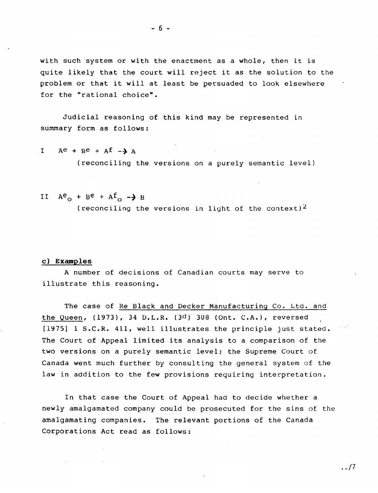with such system or with the enactment as a whole, then it is quite likely that the court will reject it as the solution to the problem or that it will at least be persuaded to look elsewhere for the "rational choice".

Judicial reasoning of this kind may be represented in summary form as follows:

$$
I \tAe + Be + Af - \lambda A
$$

(reconciling the versions on a purely semantic level)

## II  $A^e$ <sup>+ Be</sup> +  $A^f$ <sup>-+</sup> B (reconciling the versions in light of the context)<sup>2</sup>

#### **c) Examples**

A number of decisions of Canadian courts may serve to illustrate this reasoning.

The case of Re Black and Decker Manufacturing Co. Ltd. and the Queen,  $(1973)$ , 34 D.L.R.  $(3<sup>d</sup>)$  308 (Ont. C.A.), reversed [1975] I S.C.R. 411, well illustrates the principle just stated. The Court of Appeal limited its analysis to a comparison of the two versions on a purely semantic level; the Supreme Court of Canada went much further by consulting the general system of the law in addition to the few provisions requiring interpretation.

In that case the Court of Appeal had to decide whether a newly amalgamated company could be prosecuted for the sins of the amalgamating companies. The relevant portions of the Canada Corporations Act read as follows:

 $\ldots/7$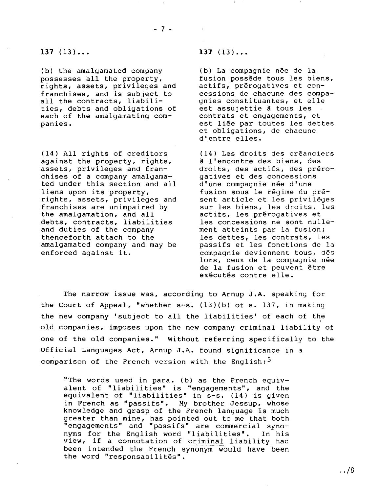(b) the amalgamated company (b) La compagnie née de la<br>possesses all the property, fusion possède tous les bie rights, assets, privileges and<br>franchises, and is subiect to all the contracts, liabili-<br>ties, debts and obligations of est assujettie a tous les ties, debts and obligations of the est assujettie à tous les<br>each of the amalgamating com- contrats et engagements, et each of the amalgamating companies. **Election Entity Executer Contracts** est liée par toutes les dettes

(14) All rights of creditors (14) Les droits des créanciers<br>against the property, rights,  $\overline{a}$  l'encontre des biens, des against the property, rights,<br>assets, privileges and franchises of a company amalgama- gatives et des concessions<br>ted under this section and all d'une compagnie née d'une ted under this section and all<br>liens upon its property, liens upon its property,<br>
rights, assets, privileges and sent article et les privilèges rights, assets, privileges and sent article et les privilèges<br>franchises are unimpaired by sur les biens, les droits, les franchises are unimpaired by sur les biens, les droits, les<br>the amalgamation, and all actifs, les prérogatives et debts, contracts, liabilities<br>and duties of the company and duties of the company ment atteints par la fusion;<br>thenceforth attach to the les dettes, les contrats, le thenceforth attach to the les dettes, les contrats, les amalgamated company and may be passifs et les fonctions de la enforced against it. compagnie deviennent tous, des

#### **137** (13) **••• 137** (13) **•••**

fusion possède tous les biens,<br>actifs, prérogatives et concessions de chacune des compa-<br>qnies constituantes, et elle et obligations, de chacune d'entre elles.

droits, des actifs, des préro-<br>gatives et des concessions actifs, les prérogatives et<br>les concessions ne sont nullepassifs et les fonctions de la lors, ceux de la compagnie née de la fusion et peuvent être exécutés contre elle.

The narrow issue was, according to Arnup J.A. speaking for the Court of Appeal, "whether s-s. (13)(b) of s. 137, in making the new company 'subject to all the liabilities' of each of the , old companies, imposes upon the new company criminal liability of one of the old companies." Without referring specifically to the Official Languages Act, Arnup J.A. found significance in a comparison of the French version with the English:<sup>5</sup>

"The words used in para. (b) as the French equiv alent of "liabilities" is "engagements", and the equivalent of "liabilities" in s-s. (14) is given in French as "passifs". My brother Jessup, whose knowledge and grasp of the French language 1s much greater than mine, has pointed out to me that both "engagements" and "passifs" are commercial syno nyms for the English word "liabilities". In his which is the english word flabilities. In his been intended the French synonym would have been the word "responsabilités".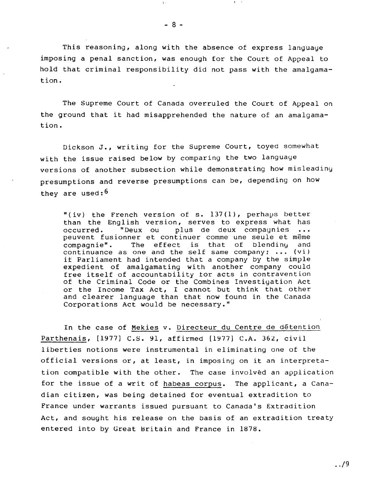$- 8 -$ 

I,

This reasoning, along with the absence of express language imposing a penal sanction, was enough for the Court of Appeal to hold that criminal responsibility did not pass with the amalgamation.

The Supreme Court of Canada overruled the Court of Appeal on the ground that it had misapprehended the nature of an amalgamation.

Dickson J., writing for the Supreme Court, toyed somewhat with the issue raised below by comparing the two language versions of another subsection while demonstrating how misleadiny presumptions and reverse presumptions can be, depending on how they are used:  $6$ 

"(iv) the French version of s. 137(1), perhaps better than the English version, serves to express what has<br>occurred. "Deux ou plus de deux compagnies ... "Deux ou plus de deux compagnies peuvent fusionner et continuer comme une seule et même<br>compagnie". The effect is that of blending and The effect is that of continuance as one and the self same company;  $\ldots$  (vi) if Parliament had intended that a company by the simple expedient of amalgamating with another company could free itself of accountability tor acts in contravention of the Criminal Code or the Combines Investigation Act or the Income Tax Act, I cannot but think that other and clearer language than that now found in the Canada Corporations Act would be necessary."

In the case of Mekies v. Directeur du Centre de d€tention Parthenais, [1977] C.S. 91, affirmed [1977] C.A. 362, civil liberties notions were instrumental in eliminating one of the official versions or, at least, in imposing on it an interpretation compatible with the other. The case involved an application for the issue of a writ of habeas corpus. The applicant, a Canadian citizen, was being detained for eventual extradition to France under warrants issued pursuant to Canada's Extradition Act, and sought his release on the basis of an extradition treaty entered into by Great Britain and France in 1878.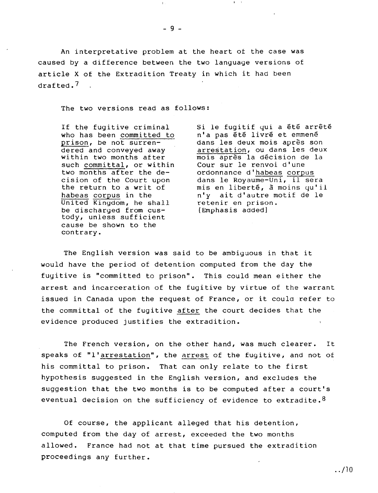An interpretative problem at the heart of the case was caused by a difference between the two language versions of article X of the Extradition Treaty in which it had been drafted.?

 $-9 -$ 

The two versions read as follows:

such committal, or within<br>two months after the de-United Kingdom, he shall retenir en priso<br>be discharged from cus- [Emphasis added] be discharged from custody, unless sufficient cause be shown to the contrary.

If the fugitive criminal Si le fugitif qui a été arrêté<br>who has been committed to n'a pas été livré et emmené who has been committed to n'a pas été livré et emmené<br>prison, be not surren- dans les deux mois après som prison, be not surren-<br>
dans les deux mois après son<br>
dered and conveyed away interestation, ou dans les deux dered and conveyed away arrestation, ou dans les deux<br>within two months after mois après la décision de la mois après la décision de la<br>Cour sur le renvoi d'une two months after the de-<br>cision of the Court upon dans le Royaume-Uni, il se cision of the Court upon<br>the return to a writ of mis en liberté, à moins qu'i. the return to a writ of mis en liberté,  $\bar{a}$  moins qu'il<br>habeas corpus in the  $n' y$  ait d'autre motif de le n'y ait d'autre motif de le<br>retenir en prison.

The English version was said to be ambiguous in that it would have the period of detention computed from the day the fugitive is "committed to prison". This could mean either the arrest and incarceration of the fugitive by virtue of the warrant issued in Canada upon the request of France, or it could refer to the committal of the fugitive after the court decides that the evidence produced justifies the extradition.

The French version, on the other hand, was much clearer. It speaks of "l'arrestation", the arrest of the fugitive, and not of his committal to prison. That can only relate to the first hypothesis suggested in the English version, and excludes the suggestion that the two months is to be computed after a court's eventual decision on the sufficiency of evidence to extradite. $^8$ 

Of course, the applicant alleged that his detention, computed from the day of arrest, exceeded the two months allowed. France had not at that time pursued the extradition proceedings any further.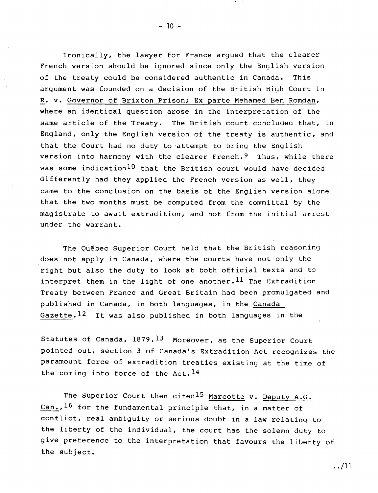Ironically, the lawyer for France argued that the clearer French version should be ignored since only the English version of the treaty could be considered authentic in Canada. This argument was founded on a decision of the British High Court in R. v. Governor of Brixton Prison; Ex parte Mehamed Ben Romdan, where an identical question arose in the interpretation of the same article of the Treaty. The British court concluded that, in England, only the English version of the treaty is authentic, and that the Court had no duty to 'attempt to bring the English version into harmony with the clearer French.<sup>9</sup> Thus, while there was some indication<sup>10</sup> that the British court would have decided differently had they applied the French version as well, they came to the conclusion on the basis of the English version alone that the two months must be computed from the committal by the magistrate to await extradition, and not from the initial arrest under the warrant.

The Qu€bec Superior Court held that the British reasoning does not apply in Canada, where the courts have not only the right but also the duty to look at both official texts and to interpret them in the light of one another.  $^{11}$  The Extradition Treaty between France and Great Britain had been promulgated and published in Canada, in both languages, in the Canada Gazette.  $12$  It was also published in both languages in the

Statutes of Canada,  $1879.13$  Moreover, as the Superior Court pointed out, section 3 of Canada's Extradition Act recognizes the paramount force of extradition treaties existing at the time of the coming into force of the Act.  $14$ 

The Superior Court then cited<sup>15</sup> Marcotte v. Deputy A.G. Can.,  $^{16}$  for the fundamental principle that, in a matter of conflict, real ambiguity or serious doubt in a law relating to the liberty of the individual, the court has the solemn duty to give preference to the interpretation that favours the liberty of the subject.

I,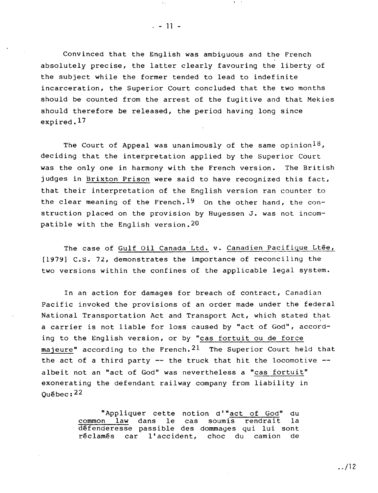Convinced that the English was ambiguous and the French absolutely precise, the latter clearly favouring the liberty of the subject while the former tended to lead to indefinite incarceration, the Superior Court concluded that the two months should be counted from the arrest of the fugitive and that Mekies should therefore be released, the period having long since expired.<sup>17</sup>

The Court of Appeal was unanimously of the same opinion<sup>18</sup>, deciding that the interpretation applied by the Superior Court was the only one in harmony with the French version. The British judges in Brixton Prison were said to have recognized this fact, that their interpretation of the English version ran counter to the clear meaning of the French.  $19$  On the other hand, the construction placed on the provision by Hugessen J. was not incompatible with the English version. 20

The case of Gulf Oil Canada Ltd. v. Canadien Pacifique Ltée, [1979) c.s. 72, demonstrates the importance of reconciling the two versions within the confines of the applicable legal system.

In an action for damages for breach of contract, Canadian Pacific invoked the provisions of an order made under the federal National Transportation Act and Transport Act, which stated that a carrier is not liable for loss caused by "act of God", according to the English version, or by "cas fortuit ou de force majeure" according to the French.  $21$  The Superior Court held that the act of a third party  $--$  the truck that hit the locomotive  $-$ albeit not an "act of God" was nevertheless a "cas fortuit" exonerating the defendant railway company from liability in  $O$ uébec:  $22$ 

> "Appliquer cette notion d'"act of God" du<br>n law dans le cas soumis rendrait la common law dans le cas soumis rendrait défenderesse passible des dommages qui lui sont<br>réclamés car l'accident, choc du camion de réclamés car l'accident, choc du camion

 $. - 11 -$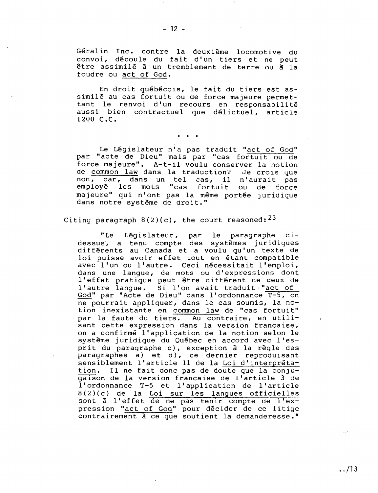Geralin Inc. contre la deuxieme locomotive du convoi, decoule du fait d'un tiers et ne peut être assimilé à un tremblement de terre ou à la foudre ou act of God.

En droit québécois, le fait du tiers est assimilé au cas fortuit ou de force majeure permettant Ie renvoi d'un recours en responsabilite aussi bien contractuel que delictuel, article 1200 C.C.

. . .

Le Législateur n'a pas traduit "act of God" par "acte de Dieu" mais par "cas fortuit ou de force majeure". A-t-il voulu conserver la notion<br>de common law dans la traduction? Je crois que de common law dans la traduction? non, car, dans un tel cas, il n'aurait pas employé les mots "cas fortuit ou de force majeure" qui n'ont pas la même portée juridique dans notre systeme de droit."

### Citing paragraph  $8(2)(c)$ , the court reasoned:  $23$

"Le Législateur, par le paragraphe cidessus, a tenu compte des systèmes juridiques differents au Canada et a voulu qu'un texte de loi puisse avoir effet tout en etant compatible avec l'un ou l'autre. Ceci nécessitait l'emploi, dans une langue, de mots ou d'expressions dont l'effet pratique peut être différent de ceux de l'autre langue. Si l'on avait traduit "act of God" par "Acte de Dieu" dans l'ordonnance T-5, on ne pourrait appliquer, dans le cas soumis, la notion inexistante en common law de "cas fortuit" par la faute du tiers. Au contraire, en utilisant cette expression dans la version francaise, on a confirme l'application de la notion selon Ie systeme juridique du Quebec en accord avec l'esprit du paragraphe c), exception à la règle des paragraphes a) et d), ce dernier reproduisant sensiblement l'article ll de la Loi d'interprétation. Il ne fait donc pas de doute que la conjugaison de la version francaise de l'article 3 de l'ordonnance T-5 et l'application de l'article  $8(2)(c)$  de la Loi sur les langues officielles sont à l'effet de ne pas tenir compte de l'expression "act of God" pour décider de ce litige contrairement à ce que soutient la demanderesse."

ديدي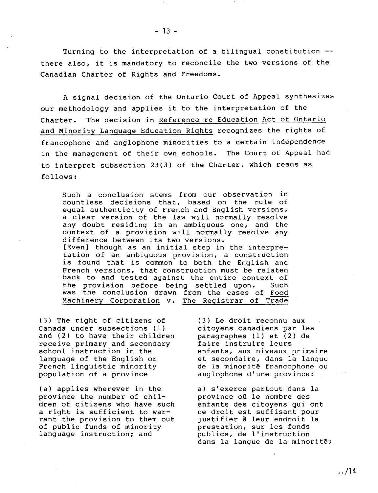Turning to the interpretation of a bilingual constitution there also, it is mandatory to reconcile the two versions of the Canadian Charter of Rights and Freedoms.

A signal decision of the Ontario Court of Appeal synthesizes our methodology and applies it to the interpretation of the Charter. The decision in Reference re Education Act of Ontario and Minority Language Education Rights recognizes the rights of francophone and anglophone minorities to a certain independence in the management of their own schools. The Court of Appeal had to interpret subsection 23(3) of the Charter, which reads as follows:

Such a conclusion stems from our observation in countless decisions that, based on the rule of equal authenticity of French and English versions, a clear version of the law will normally resolve any doubt residing in an ambiguous one, and the context of a provision will normally resolve any difference between its two versions. [Even] though as an initial step in the interpre tation of an ambiguous provision, a construction is found that is common to both the English and French versions, that construction must be related back to and tested against the entire context of<br>the provision before being settled upon. Such the provision before being settled upon. was the conclusion drawn from the cases of Food Machinery Corporation v. The Reqistrar of Trade

(3) The right of citizens of (3) Le droit reconnu aux<br>Canada under subsections (1) (citoyens canadiens par les Canada under subsections (1) citoyens canadiens par les<br>and (2) to have their children paragraphes (1) et (2) de and (2) to have their children paragraphes (1) et (2) receive primary and secondary faire instruire leurs receive primary and secondary<br>school instruction in the school instruction in the enfants, aux niveaux primaire<br>language of the English or et secondaire, dans la langue language of the English or et secondaire, dans la langue<br>French linguistic minority de la minorité francophone ou French linguistic minority de la minorité francophone ou<br>population of a province anglophone d'une province:

(a) applies wherever in the a) s'exerce partout dans la<br>province the number of chil-<br>province où le nombre des province the number of chil-<br>dren of citizens who have such a right is sufficient to war-<br>
rant the provision to them out justifier a leur endroit la rant the provision to them out justifier a leur endroit<br>of public funds of minority brestation, sur les fonds of public funds of minority<br>language instruction; and

anglophone d'une province:

enfants des citoyens qui ont<br>ce droit est suffisant pour publics, de l'instruction dans la lanque de la minorité;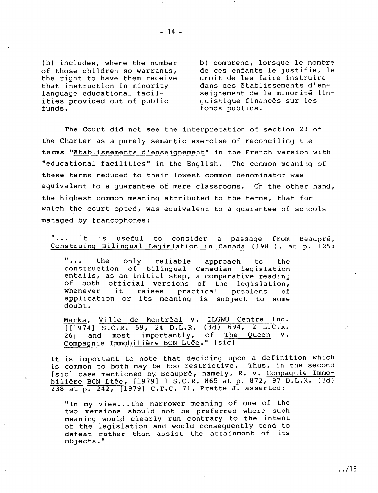(b) includes, where the number of those children so warrants, the right to have them receive that instruction in minority language educational facilities provided out of public funds.

b) comprend, lorsque Ie nombre de ces enfants Ie justifie, Ie droit de les faire instruire dans des établissements d'enseignement de la minorité linguistique finances sur les fonds publics.

The Court did not see the interpretation of section 23 of the Charter as a purely semantic exercise of reconciling the terms "etablissements d'enseignement" in the French version with "educational facilities" in the English. The common meaning of these terms reduced to their lowest common denominator was equivalent to a quarantee of mere classrooms. On the other hand, the highest common meaning attributed to the terms, that for which the court opted, was equivalent to a guarantee of schools managed by francophones:

"... it is useful to consider a passage from Beaupré, Construing Bilingual Legislation in Canada (1981), at p. 125:

**"...** the only reliable approach to the construction of bilingual Canadian legislation entails, as an initial step, a comparative reading of both official versions of the legislation, of both official versions of the regislation,<br>whenever it raises practical problems of whenever it raises practical problems of<br>application or its meaning is subject to some doubt.

Marks, Ville de Montréal v. ILGWU Centre Inc.  $[1974]$  S.C.R. 59, 24 D.L.R. (3d) 694, 2 L.C.R. 26] and most importantly, of The Queen v. Compagnie Immobilière BCN Ltée." [sic]

It is important to note that deciding upon a definition which is common to both may be too restrictive. Thus, in the second [sic] case mentioned by Beaupré, namely, R. v. Compagnie Immobilière BCN Ltée,  $[1979]$  1 S.C.R. 865 at p. 872, 97 D.L.R. (3d) 238 at p. 242, [1979] C.T.C. 71, Pratte J. asserted:

"In my view...the narrower meaning of one of the two versions should not be preferred where such. meaning would clearly run contrary to the intent of the legislation and would consequently tend to defeat rather than assist the attainment of its objects."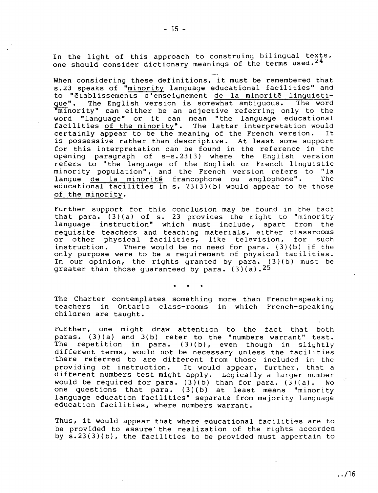In the light of this approach to construing bilingual texts, one should consider dictionary meanings of the terms used.<sup>24</sup>

When considering these definitions, it must be remembered that 5.23 speaks of "minority language educational facilities" and to "établissements d'enseignement de la minorité linguisti-<br>que". The English version is somewhat ambiguous. The word The English version is somewhat ambiguous. "minority" can either be an adjective referring only to the word "language" or it can mean "the language educational facilities of the minority". The latter interpretation would<br>certainly appear to be the meaning of the French version. It certainly appear to be the meaning of the French version. is possessive rather than descriptlve. At least some support for this interpretation can be found in the reference in the opening paragraph of 5-5.23(3) where the English version refers to "the language of the English or French linguistic minority population", and the French version refers to "la<br>langue de la minorité francophone ou anglophone". The langue de la minorité francophone ou anglophone". educational facilities in s.  $23(\overline{3})(b)$  would appear to be those of the minority.

Further support for this conclusion may be tound in the fact that para. (3)(a) of s. 23 provides the right to "minority language instruction" which must include, apart from the requisite teachers and teaching materials, either classrooms<br>or other physical facilities, like television, for such or other physical facilities, like television, for such instruction. There would be no need for para. (3) (b) if the instruction. There would be no need for para. (3)(b) if the only purpose were to be a requirement of physical facilities. In our opinion, the rights granted by para.  $(3)(b)$  must be greater than those quaranteed by para. (3)(a).  $25$ 

• •

The Charter contemplates something more than French-speaking teachers in Ontario class-rooms in which French-speaking children are taught.

Further, one might draw attention to the fact that both paras. (3)(a) and  $3(b)$  refer to the "numbers warrant" test.<br>The repetition in para. (3)(b), even though in slightly repetition in para. (3)(b), even though in slightly different terms, would not be necessary unless the facilities there referred to are different from those included in the providing of instruction. It would appear, further, that a It would appear, further, that a different numbers test might apply. Logically a larger number would be required for para.  $(3)(b)$  than for para.  $(3)(a)$ . No one questions that para. (3)(b) at least means "minority language education facilities" separate from majority language education facilities, where numbers warrant.

Thus, it would appear that where educational facilities are to be provided to assure the realization of the rights accorded by s.23(3)(b), the facilities to be provided must appertain to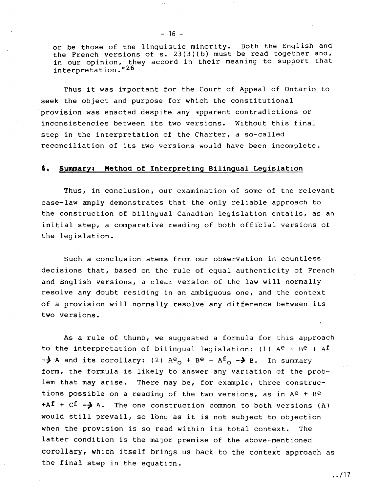or be those of the linguistic minority. Both the English and the French versions of s. 23(3)(b) must be read together and, in our opinion, they accord in their meaning to support that interpretation."26

 $-16 -$ 

 $\bar{\Gamma}$  .

Thus it was important for the Court of Appeal of Ontario to seek the object and purpose for which the constitutional provision was enacted despite any 3pparent contradictions or inconsistencies between its two versions. Without this final step in the interpretation of the Charter, a so-called reconciliation of its two versions would have been incomplete.

#### **6. Summary: Method** of Interpreting Bilingual Legislation

Thus, in conclusion, our examination of some of the relevant case-law amply demonstrates that the only reliable approach to the construction of bilingual Canadian legislation entails, as an initial step, a comparative reading of both official versions ot the legislation.

Such a conclusion stems from our observation in countless decisions that, based on the rule of equal authenticity of French and English versions, a clear version of the law will normally resolve any doubt residing in an ambiguous one, and the context of a provision will normally resolve any difference between its two versions.

As a rule of thumb, we suggested a formula for this approach to the interpretation of bilingual legislation: (1)  $A^e$  +  $B^e$  +  $A^f$  $-\frac{1}{2}$  A and its corollary: (2) A<sup>e</sup><sub>0</sub> + B<sup>e</sup> + A<sup>f</sup><sub>0</sub> - > B. In summary form, the formula is likely to answer any variation of the problem that may arise. There may be, for example, three constructions possible on a reading of the two versions, as in  $A^e$  + Be  $+A<sup>f</sup> + C<sup>f</sup> - \lambda$  A. The one construction common to both versions (A) would still prevail, so long as it is not subject to objection when the provision is so read within its total context. The latter condition is the major premise of the above-mentioned corollary, which itself brings us back to the context approach as the final step in the equation.

../17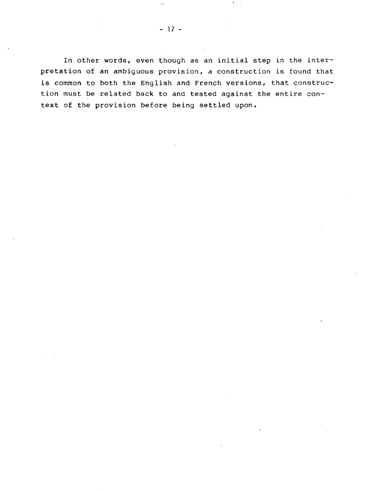In other words, even though as an initial step in the interpretation of an ambiguous provision, a construction is found that is common to both the English and French versions, that construction must be related back to and tested against the entire context of the provision before being settled upon.

 $\hat{\Gamma}$  .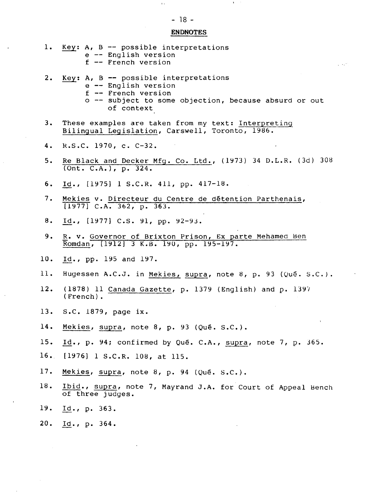# ENDNOTES

 $\mathbf{A}=\mathbf{A}$ 

| 1.  | Key: A, B $-$ possible interpretations<br>e -- English version<br>$f$ -- French version                                                                              |
|-----|----------------------------------------------------------------------------------------------------------------------------------------------------------------------|
| 2.  | Key: $A$ , $B$ -- possible interpretations<br>$e$ -- English version<br>$f$ -- French version<br>o -- subject to some objection, because absurd or out<br>of context |
| 3.  | These examples are taken from my text: Interpreting<br>Bilingual Legislation, Carswell, Toronto, 1986.                                                               |
| 4.  | R.S.C. 1970, c. C-32.                                                                                                                                                |
| 5.  | Re Black and Decker Mfg. Co. Ltd., (1973) 34 D.L.R. (3d) 308<br>$(Ont. C.A.)$ , p. 324.                                                                              |
| б.  | Id., $[1975]$ 1 S.C.R. 411, pp. 417-18.                                                                                                                              |
| 7.  | Mekies v. Directeur du Centre de détention Parthenais,<br>$[1977]$ C.A. 362, p. 363.                                                                                 |
| 8.  | Id., $[1977]$ C.S. 91, pp. 92-93.                                                                                                                                    |
| 9.  | R. v. Governor of Brixton Prison, Ex parte Mehamed Ben<br>Romdan, [1912] 3 K.B. 190, pp. 195-197.                                                                    |
| 10. | Id., pp. 195 and 197.                                                                                                                                                |
| 11. | Hugessen A.C.J. in Mekies, supra, note 8, p. 93 (Qué. S.C.).                                                                                                         |
| 12. | (1878) 11 Canada Gazette, p. 1379 (English) and p. 1397<br>$(French)$ .                                                                                              |
|     | 13. S.C. 1879, page ix.                                                                                                                                              |
| 14. | Mekies, supra, note 8, p. 93 (Qué. S.C.).                                                                                                                            |
| 15. | Id., p. 94; confirmed by Qué. C.A., supra, note 7, p. 365.                                                                                                           |
| 16. | [1976] 1 S.C.R. 108, at 115.                                                                                                                                         |
| 17. | Mekies, supra, note 8, p. 94 (Qué. S.C.).                                                                                                                            |
| 18. | Ibid., supra, note 7, Mayrand J.A. for Court of Appeal Bench<br>of three judges.                                                                                     |
| 19. | <u>Id</u> ., p. 363.                                                                                                                                                 |
| 20. | <u>Id</u> ., p. 364.                                                                                                                                                 |
|     |                                                                                                                                                                      |

 $\bar{\Gamma}$  is